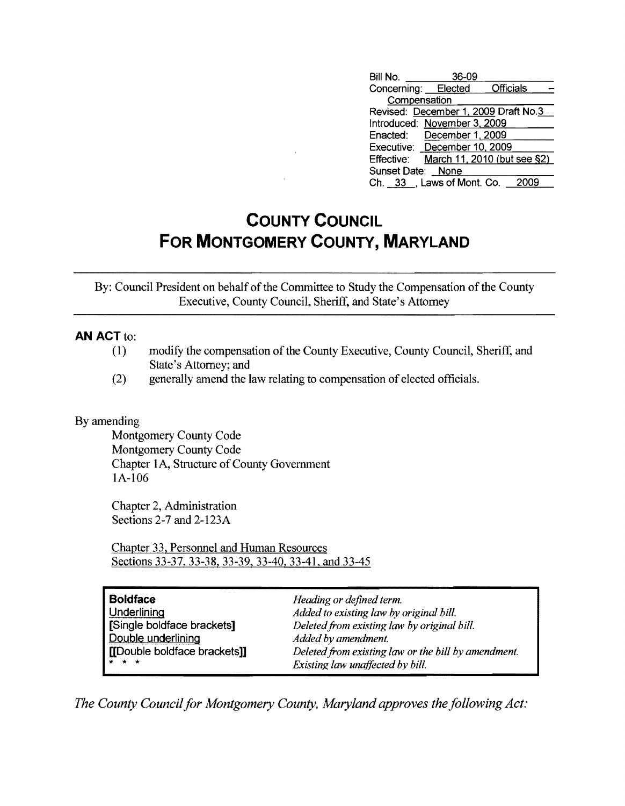| Bill No.            | 36-09                         |                                        |
|---------------------|-------------------------------|----------------------------------------|
| Concerning: Elected |                               | Officials                              |
| Compensation        |                               |                                        |
|                     |                               | Revised: December 1, 2009 Draft No.3   |
|                     | Introduced: November 3, 2009  |                                        |
|                     | Enacted: December 1, 2009     |                                        |
|                     | Executive: December 10, 2009  |                                        |
|                     |                               | Effective: March 11, 2010 (but see §2) |
| Sunset Date: None   |                               |                                        |
|                     | Ch. 33 Laws of Mont. Co. 2009 |                                        |

## **COUNTY COUNCIL FOR MONTGOMERY COUNTY, MARYLAND**

By: Council President on behalf of the Committee to Study the Compensation of the County Executive, County Council, Sheriff, and State's Attorney

## **AN ACT to:**

- (1) modify the compensation of the County Executive, County Council, Sheriff, and State's Attorney; and
- (2) generally amend the law relating to compensation of elected officials.

## By amending

Montgomery County Code Montgomery County Code Chapter 1A, Structure of County Government IA-106

Chapter 2, Administration Sections 2-7 and 2-123A

Chapter 33, Personnel and Human Resources Sections 33-37, 33-38, 33-39, 33-40, 33-41, and 33-45

| <b>Boldface</b>              | Heading or defined term.                            |
|------------------------------|-----------------------------------------------------|
| Underlining                  | Added to existing law by original bill.             |
| [Single boldface brackets]   | Deleted from existing law by original bill.         |
| Double underlining           | Added by amendment.                                 |
| [[Double boldface brackets]] | Deleted from existing law or the bill by amendment. |
| <b>***</b>                   | Existing law unaffected by bill.                    |

*The County Council for Montgomery County, Maryland approves the following Act:*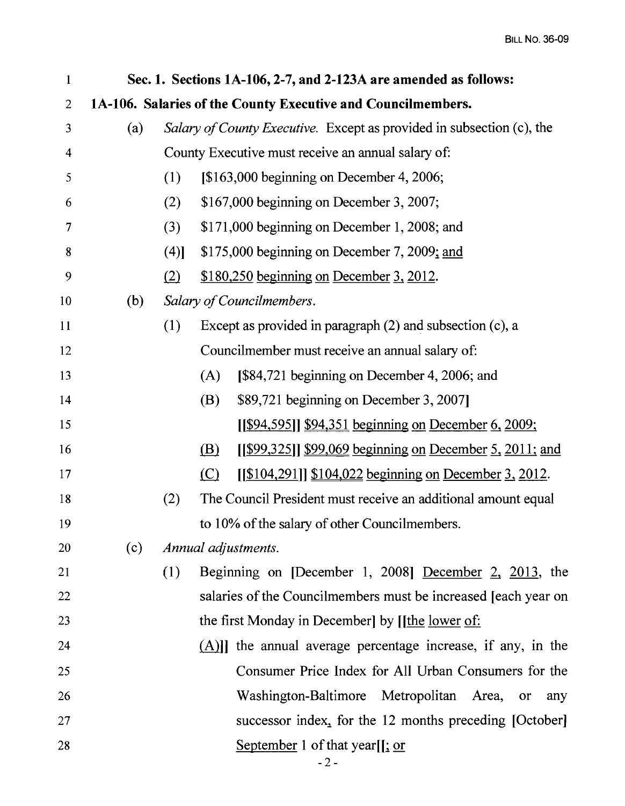| 1                       |     |                                                                       |                               | Sec. 1. Sections 1A-106, 2-7, and 2-123A are amended as follows: |  |  |
|-------------------------|-----|-----------------------------------------------------------------------|-------------------------------|------------------------------------------------------------------|--|--|
| $\overline{2}$          |     |                                                                       |                               | 1A-106. Salaries of the County Executive and Councilmembers.     |  |  |
| $\overline{\mathbf{3}}$ | (a) | Salary of County Executive. Except as provided in subsection (c), the |                               |                                                                  |  |  |
| $\overline{\mathbf{4}}$ |     | County Executive must receive an annual salary of:                    |                               |                                                                  |  |  |
| 5                       |     | (1)                                                                   |                               | [\$163,000 beginning on December 4, 2006;                        |  |  |
| 6                       |     | (2)                                                                   |                               | \$167,000 beginning on December 3, 2007;                         |  |  |
| 7                       |     | (3)                                                                   |                               | \$171,000 beginning on December 1, 2008; and                     |  |  |
| 8                       |     | (4)]                                                                  |                               | \$175,000 beginning on December 7, 2009; and                     |  |  |
| 9                       |     | (2)                                                                   |                               | \$180,250 beginning on December 3, 2012.                         |  |  |
| 10                      | (b) |                                                                       |                               | Salary of Councilmembers.                                        |  |  |
| 11                      |     | (1)                                                                   |                               | Except as provided in paragraph $(2)$ and subsection $(c)$ , a   |  |  |
| 12                      |     |                                                                       |                               | Councilmember must receive an annual salary of:                  |  |  |
| 13                      |     |                                                                       | (A)                           | [\$84,721 beginning on December 4, 2006; and                     |  |  |
| 14                      |     |                                                                       | (B)                           | \$89,721 beginning on December 3, 2007]                          |  |  |
| 15                      |     |                                                                       |                               | [[\$94,595]] \$94,351 beginning on December 6, 2009;             |  |  |
| 16                      |     |                                                                       | (B)                           | [[\$99,325]] \$99,069 beginning on December 5, 2011; and         |  |  |
| 17                      |     |                                                                       | $\left( \underline{C}\right)$ | [[\$104,291]] \$104,022 beginning on December 3, 2012.           |  |  |
| 18                      |     | (2)                                                                   |                               | The Council President must receive an additional amount equal    |  |  |
| 19                      |     |                                                                       |                               | to 10% of the salary of other Councilmembers.                    |  |  |
| 20                      | (c) |                                                                       |                               | Annual adjustments.                                              |  |  |
| 21                      |     | (1)                                                                   |                               | Beginning on [December 1, 2008] December $2, 2013$ , the         |  |  |
| 22                      |     |                                                                       |                               | salaries of the Councilmembers must be increased [each year on   |  |  |
| 23                      |     |                                                                       |                               | the first Monday in December] by [[the lower of:                 |  |  |
| 24                      |     |                                                                       |                               | $(A)$ ] the annual average percentage increase, if any, in the   |  |  |
| 25                      |     |                                                                       |                               | Consumer Price Index for All Urban Consumers for the             |  |  |
| 26                      |     |                                                                       |                               | Washington-Baltimore Metropolitan Area,<br>or<br>any             |  |  |
| 27                      |     |                                                                       |                               | successor index, for the 12 months preceding [October]           |  |  |
| 28                      |     |                                                                       |                               | September 1 of that year <sup>[[</sup> ; <u>or</u> ]             |  |  |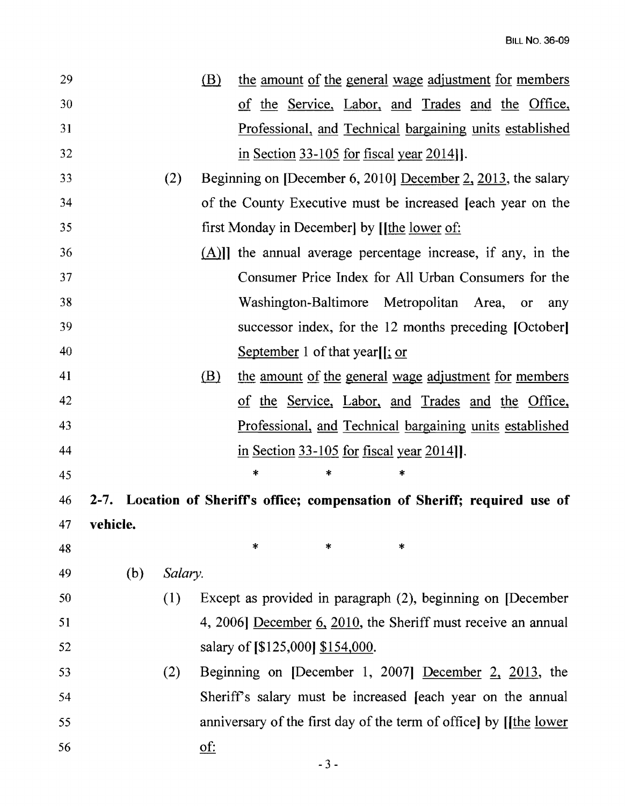| 29 |          |         | (B)                       | the amount of the general wage adjustment for members                       |                  |
|----|----------|---------|---------------------------|-----------------------------------------------------------------------------|------------------|
| 30 |          |         |                           | of the Service, Labor, and Trades and the Office,                           |                  |
| 31 |          |         |                           | Professional, and Technical bargaining units established                    |                  |
| 32 |          |         |                           | in Section $33-105$ for fiscal year $2014$ ].                               |                  |
| 33 |          | (2)     |                           | Beginning on [December 6, 2010] December $2$ , 2013, the salary             |                  |
| 34 |          |         |                           | of the County Executive must be increased Jeach year on the                 |                  |
| 35 |          |         |                           | first Monday in December by [ <i>[the lower of:</i>                         |                  |
| 36 |          |         |                           | $(A)$ ] the annual average percentage increase, if any, in the              |                  |
| 37 |          |         |                           | Consumer Price Index for All Urban Consumers for the                        |                  |
| 38 |          |         |                           | Washington-Baltimore Metropolitan Area,                                     | <b>or</b><br>any |
| 39 |          |         |                           | successor index, for the 12 months preceding [October]                      |                  |
| 40 |          |         |                           | September 1 of that year $\int$ : or                                        |                  |
| 41 |          |         | (B)                       | the amount of the general wage adjustment for members                       |                  |
| 42 |          |         |                           | of the Service, Labor, and Trades and the Office,                           |                  |
| 43 |          |         |                           | <u>Professional, and Technical bargaining units established</u>             |                  |
| 44 |          |         |                           | in Section $33-105$ for fiscal year $2014$ ].                               |                  |
| 45 |          |         |                           | $\ast$<br>*<br>×                                                            |                  |
| 46 |          |         |                           | 2-7. Location of Sheriff's office; compensation of Sheriff; required use of |                  |
| 47 | vehicle. |         |                           |                                                                             |                  |
| 48 |          |         |                           | *<br>$\ast$<br>$\ast$                                                       |                  |
| 49 | (b)      | Salary. |                           |                                                                             |                  |
| 50 |          | (1)     |                           | Except as provided in paragraph (2), beginning on [December                 |                  |
| 51 |          |         |                           | 4, 2006] December $6$ , 2010, the Sheriff must receive an annual            |                  |
| 52 |          |         |                           | salary of [\$125,000] \$154,000.                                            |                  |
| 53 |          | (2)     |                           | Beginning on [December 1, 2007] December 2, 2013, the                       |                  |
| 54 |          |         |                           | Sheriff's salary must be increased [each year on the annual                 |                  |
| 55 |          |         |                           | anniversary of the first day of the term of office by [[the lower           |                  |
| 56 |          |         | $\underline{\text{of}}$ : |                                                                             |                  |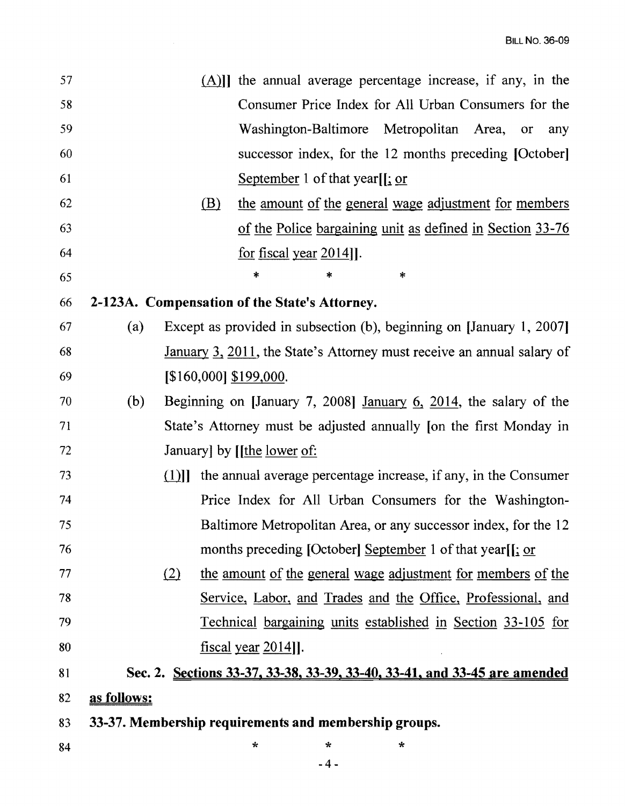| 57 |             |     | $(A)$ ] the annual average percentage increase, if any, in the            |
|----|-------------|-----|---------------------------------------------------------------------------|
| 58 |             |     | Consumer Price Index for All Urban Consumers for the                      |
| 59 |             |     | Washington-Baltimore Metropolitan Area,<br>or<br>any                      |
| 60 |             |     | successor index, for the 12 months preceding [October]                    |
| 61 |             |     | September 1 of that year[ $\frac{1}{2}$ or                                |
| 62 |             | (B) | the amount of the general wage adjustment for members                     |
| 63 |             |     | of the Police bargaining unit as defined in Section 33-76                 |
| 64 |             |     | for fiscal year $2014$ ].                                                 |
| 65 |             |     | $\ast$<br>$*$<br>*                                                        |
| 66 |             |     | 2-123A. Compensation of the State's Attorney.                             |
| 67 | (a)         |     | Except as provided in subsection (b), beginning on [January 1, 2007]      |
| 68 |             |     | January 3, 2011, the State's Attorney must receive an annual salary of    |
| 69 |             |     | $[$160,000]$ \$199,000.                                                   |
| 70 | (b)         |     | Beginning on [January 7, 2008] January $6, 2014$ , the salary of the      |
| 71 |             |     | State's Attorney must be adjusted annually [on the first Monday in        |
| 72 |             |     | January by [ <i>[the lower of:</i>                                        |
| 73 |             |     | $(1)$ ] the annual average percentage increase, if any, in the Consumer   |
| 74 |             |     | Price Index for All Urban Consumers for the Washington-                   |
| 75 |             |     | Baltimore Metropolitan Area, or any successor index, for the 12           |
| 76 |             |     | months preceding [October] September 1 of that year[[; or                 |
| 77 | (2)         |     | the amount of the general wage adjustment for members of the              |
| 78 |             |     | Service, Labor, and Trades and the Office, Professional, and              |
| 79 |             |     | Technical bargaining units established in Section 33-105 for              |
| 80 |             |     | $f_{\text{IScal}}$ year 2014]].                                           |
| 81 |             |     | Sec. 2. Sections 33-37, 33-38, 33-39, 33-40, 33-41, and 33-45 are amended |
| 82 | as follows: |     |                                                                           |
| 83 |             |     | 33-37. Membership requirements and membership groups.                     |
| 84 |             |     | ÷<br>$\star$<br>*                                                         |

 $-4-$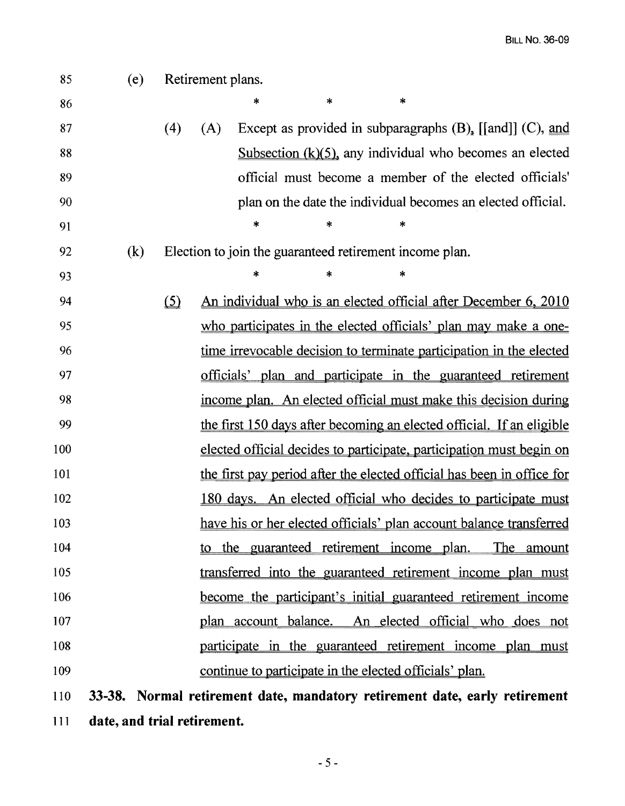| 85  | (e) |     | Retirement plans. |                                                         |   |        |                                                                            |
|-----|-----|-----|-------------------|---------------------------------------------------------|---|--------|----------------------------------------------------------------------------|
| 86  |     |     |                   | *                                                       | * | $\ast$ |                                                                            |
| 87  |     | (4) | (A)               |                                                         |   |        | Except as provided in subparagraphs $(B)$ , [[and]] $(C)$ , and            |
| 88  |     |     |                   |                                                         |   |        | Subsection $(k)(5)$ , any individual who becomes an elected                |
| 89  |     |     |                   |                                                         |   |        | official must become a member of the elected officials'                    |
| 90  |     |     |                   |                                                         |   |        | plan on the date the individual becomes an elected official.               |
| 91  |     |     |                   | *                                                       |   | ∗      |                                                                            |
| 92  | (k) |     |                   | Election to join the guaranteed retirement income plan. |   |        |                                                                            |
| 93  |     |     |                   | *                                                       | * | ∗      |                                                                            |
| 94  |     | (5) |                   |                                                         |   |        | An individual who is an elected official after December 6, 2010            |
| 95  |     |     |                   |                                                         |   |        | who participates in the elected officials' plan may make a one-            |
| 96  |     |     |                   |                                                         |   |        | time irrevocable decision to terminate participation in the elected        |
| 97  |     |     |                   |                                                         |   |        | officials' plan and participate in the guaranteed retirement               |
| 98  |     |     |                   |                                                         |   |        | income plan. An elected official must make this decision during            |
| 99  |     |     |                   |                                                         |   |        | the first 150 days after becoming an elected official. If an eligible      |
| 100 |     |     |                   |                                                         |   |        | elected official decides to participate, participation must begin on       |
| 101 |     |     |                   |                                                         |   |        | the first pay period after the elected official has been in office for     |
| 102 |     |     |                   |                                                         |   |        | 180 days. An elected official who decides to participate must              |
| 103 |     |     |                   |                                                         |   |        | have his or her elected officials' plan account balance transferred        |
| 104 |     |     |                   |                                                         |   |        | to the guaranteed retirement income plan. The amount                       |
| 105 |     |     |                   |                                                         |   |        | transferred into the guaranteed retirement income plan must                |
| 106 |     |     |                   |                                                         |   |        | become the participant's initial guaranteed retirement income              |
| 107 |     |     |                   |                                                         |   |        | plan account balance. An elected official who does not                     |
| 108 |     |     |                   |                                                         |   |        | participate in the guaranteed retirement income plan must                  |
| 109 |     |     |                   | continue to participate in the elected officials' plan. |   |        |                                                                            |
| 110 |     |     |                   |                                                         |   |        | 33-38. Normal retirement date, mandatory retirement date, early retirement |

111 **date, and trial retirement.**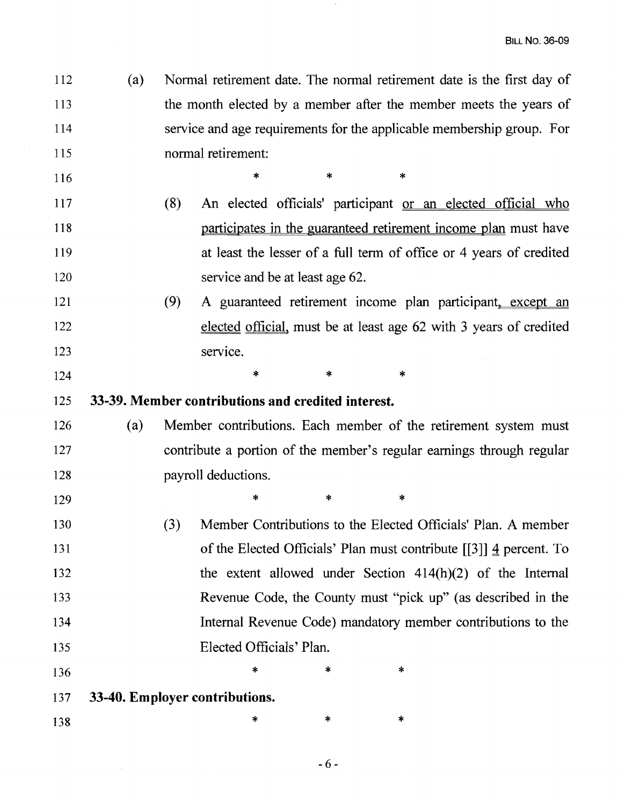112 (a) Normal retirement date. The normal retirement date is the first day of 113 the month elected by a member after the member meets the years of 114 service and age requirements for the applicable membership group. For 115 normal retirement:

 $116$  \* \* \*

- 117 (8) An elected officials' participant or an elected official who 118 **participates** in the guaranteed retirement income plan must have 119 at least the lesser of a full term of office or 4 years of credited 120 service and be at least age 62.
- 121 (9) A guaranteed retirement income plan participant, except an 122 **elected official, must be at least age 62 with 3 years of credited** 123 service.
- 125 **33-39. Member contributions and credited interest.**

 $124$  \* \* \*

126 (a) Member contributions. Each member of the retirement system must 127 contribute a portion of the member's regular earnings through regular 128 payroll deductions.

 $129$  \* \* \*

130 (3) Member Contributions to the Elected Officials' Plan. A member 131 of the Elected Officials' Plan must contribute [[3]] 4 percent. To 132 the extent allowed under Section 414(h)(2) of the Internal 133 Revenue Code, the County must "pick up" (as described in the 134 Internal Revenue Code) mandatory member contributions to the 135 Elected Officials' Plan.

 $136$  \* \* \*

137 **33-40. Employer contributions.** 

138  $*$  \* \* \*

 $-6-$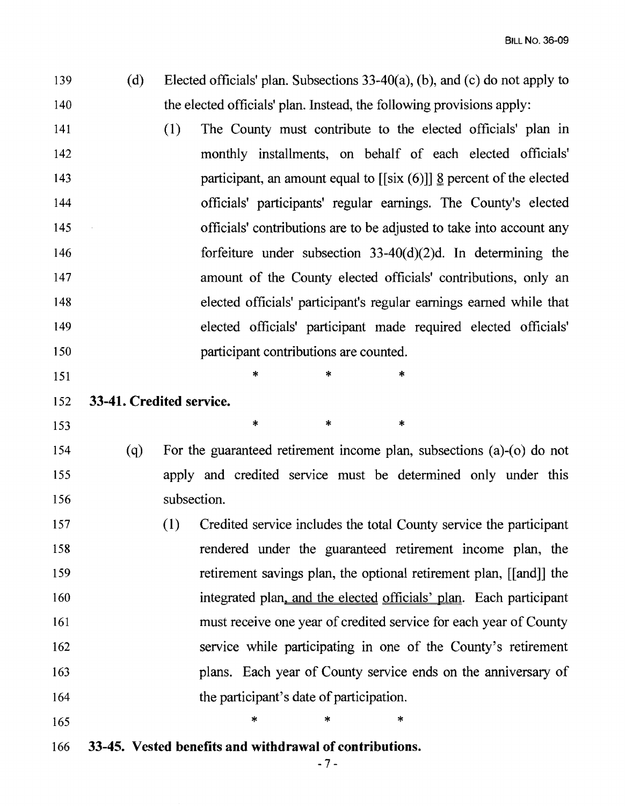| 139 | (d) | Elected officials' plan. Subsections $33-40(a)$ , (b), and (c) do not apply to    |
|-----|-----|-----------------------------------------------------------------------------------|
| 140 |     | the elected officials' plan. Instead, the following provisions apply:             |
| 141 |     | (1)<br>The County must contribute to the elected officials' plan in               |
| 142 |     | monthly installments, on behalf of each elected officials'                        |
| 143 |     | participant, an amount equal to $[[six (6)]]$ <u>&amp;</u> percent of the elected |
| 144 |     | officials' participants' regular earnings. The County's elected                   |
| 145 |     | officials' contributions are to be adjusted to take into account any              |
| 146 |     | forfeiture under subsection $33-40(d)(2)d$ . In determining the                   |
| 147 |     | amount of the County elected officials' contributions, only an                    |
| 148 |     | elected officials' participant's regular earnings earned while that               |
| 149 |     | elected officials' participant made required elected officials'                   |
| 150 |     | participant contributions are counted.                                            |
| 151 |     | *<br>*<br>*                                                                       |
| 152 |     | 33-41. Credited service.                                                          |
| 153 |     | *<br>$\ast$<br>$\ast$                                                             |
| 154 | (q) | For the guaranteed retirement income plan, subsections $(a)-(o)$ do not           |
| 155 |     | apply and credited service must be determined only under this                     |
| 156 |     | subsection.                                                                       |
| 157 |     | (1) Credited service includes the total County service the participant            |
| 158 |     | rendered under the guaranteed retirement income plan, the                         |
| 159 |     | retirement savings plan, the optional retirement plan, [[and]] the                |
| 160 |     | integrated plan, and the elected officials' plan. Each participant                |
| 161 |     | must receive one year of credited service for each year of County                 |

- 162 service while participating in one of the County's retirement 163 plans. Each year of County service ends on the anniversary of 164 the participant's date of participation.
- $165$  \* \* \*
- 166 **33-45. Vested benefits and withdrawal of contributions.**

 $-7-$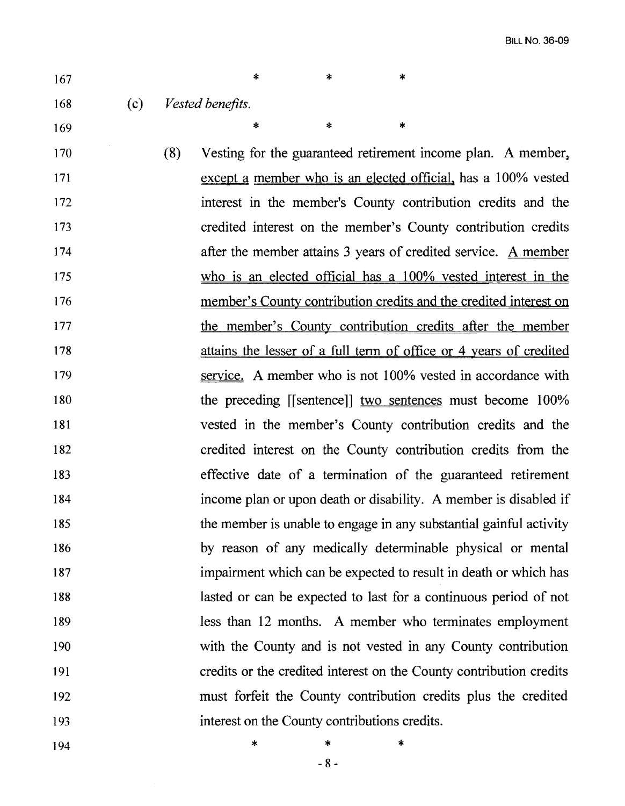- 167  $*$  \* \* \* 168 (c) *Vested benefits.*   $169$  \* \* \*
- 170 (8) Vesting for the guaranteed retirement income plan. A member, 171 except a member who is an elected official, has a 100% vested 172 interest in the member's County contribution credits and the 173 credited interest on the member's County contribution credits 174 **after the member attains 3 years of credited service.** A member 175 who is an elected official has a 100% vested interest in the 176 member's County contribution credits and the credited interest on 177 the member's County contribution credits after the member 178 attains the lesser of a full term of office or 4 years of credited 179 service. A member who is not 100% vested in accordance with 180 the preceding [[sentence]] two sentences must become 100% 181 vested in the member's County contribution credits and the 182 credited interest on the County contribution credits from the 183 effective date of a termination of the guaranteed retirement 184 income plan or upon death or disability. A member is disabled if 185 the member is unable to engage in any substantial gainful activity 186 by reason of any medically determinable physical or mental 187 impairment which can be expected to result in death or which has 188 lasted or can be expected to last for a continuous period of not 189 less than 12 months. A member who terminates employment 190 with the County and is not vested in any County contribution 191 credits or the credited interest on the County contribution credits 192 must forfeit the County contribution credits plus the credited 193 interest on the County contributions credits.
- 194 **\*** \* \* \*

 $-8-$